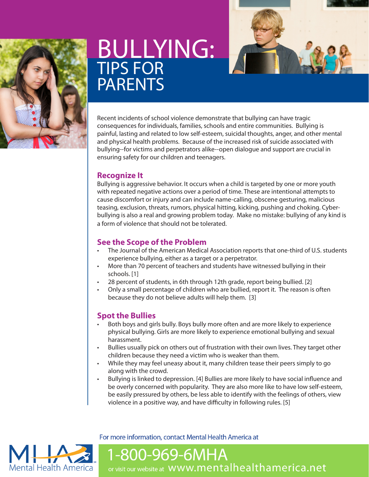

# BULLYING: TIPS FOR PARENTS

Recent incidents of school violence demonstrate that bullying can have tragic consequences for individuals, families, schools and entire communities. Bullying is painful, lasting and related to low self-esteem, suicidal thoughts, anger, and other mental and physical health problems. Because of the increased risk of suicide associated with bullying--for victims and perpetrators alike--open dialogue and support are crucial in ensuring safety for our children and teenagers.

### **Recognize It**

Bullying is aggressive behavior. It occurs when a child is targeted by one or more youth with repeated negative actions over a period of time. These are intentional attempts to cause discomfort or injury and can include name-calling, obscene gesturing, malicious teasing, exclusion, threats, rumors, physical hitting, kicking, pushing and choking. Cyberbullying is also a real and growing problem today. Make no mistake: bullying of any kind is a form of violence that should not be tolerated.

# **See the Scope of the Problem**

- The Journal of the American Medical Association reports that one-third of U.S. students experience bullying, either as a target or a perpetrator.
- More than 70 percent of teachers and students have witnessed bullying in their schools. [1]
- 28 percent of students, in 6th through 12th grade, report being bullied. [2]
- Only a small percentage of children who are bullied, report it. The reason is often because they do not believe adults will help them. [3]

# **Spot the Bullies**

- Both boys and girls bully. Boys bully more often and are more likely to experience physical bullying. Girls are more likely to experience emotional bullying and sexual harassment.
- Bullies usually pick on others out of frustration with their own lives. They target other children because they need a victim who is weaker than them.
- While they may feel uneasy about it, many children tease their peers simply to go along with the crowd.
- Bullying is linked to depression. [4] Bullies are more likely to have social influence and be overly concerned with popularity. They are also more like to have low self-esteem, be easily pressured by others, be less able to identify with the feelings of others, view violence in a positive way, and have difficulty in following rules. [5]

# **Mental Health America**

For more information, contact Mental Health America at

1-800-969-6MHA or visit our website at WWW.mentalhealthamerica.net